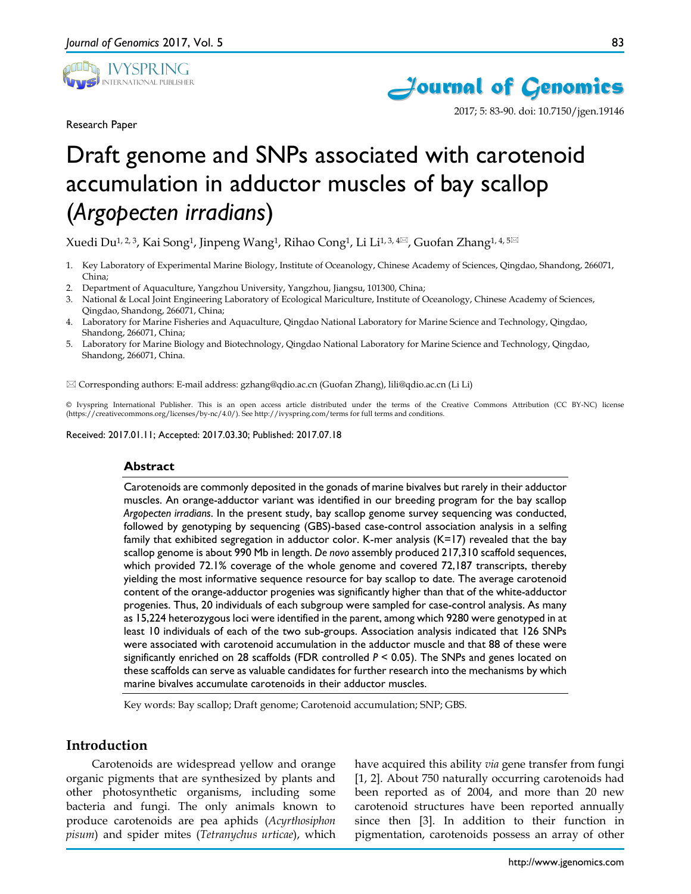

Research Paper



2017; 5: 83-90. doi: 10.7150/jgen.19146

# Draft genome and SNPs associated with carotenoid accumulation in adductor muscles of bay scallop (*Argopecten irradians*)

Xuedi Du<sup>1, 2, 3</sup>, Kai Song<sup>1</sup>, Jinpeng Wang<sup>1</sup>, Rihao Cong<sup>1</sup>, Li Li<sup>1, 3, 4 $\mathbb{Z}$ , Guofan Zhang<sup>1, 4, 5 $\mathbb{Z}$ </sup></sup>

- 1. Key Laboratory of Experimental Marine Biology, Institute of Oceanology, Chinese Academy of Sciences, Qingdao, Shandong, 266071, China;
- 2. Department of Aquaculture, Yangzhou University, Yangzhou, Jiangsu, 101300, China;
- 3. National & Local Joint Engineering Laboratory of Ecological Mariculture, Institute of Oceanology, Chinese Academy of Sciences, Qingdao, Shandong, 266071, China;
- 4. Laboratory for Marine Fisheries and Aquaculture, Qingdao National Laboratory for Marine Science and Technology, Qingdao, Shandong, 266071, China;
- 5. Laboratory for Marine Biology and Biotechnology, Qingdao National Laboratory for Marine Science and Technology, Qingdao, Shandong, 266071, China.

Corresponding authors: E-mail address: gzhang@qdio.ac.cn (Guofan Zhang), lili@qdio.ac.cn (Li Li)

© Ivyspring International Publisher. This is an open access article distributed under the terms of the Creative Commons Attribution (CC BY-NC) license (https://creativecommons.org/licenses/by-nc/4.0/). See http://ivyspring.com/terms for full terms and conditions.

Received: 2017.01.11; Accepted: 2017.03.30; Published: 2017.07.18

#### **Abstract**

Carotenoids are commonly deposited in the gonads of marine bivalves but rarely in their adductor muscles. An orange-adductor variant was identified in our breeding program for the bay scallop *Argopecten irradians*. In the present study, bay scallop genome survey sequencing was conducted, followed by genotyping by sequencing (GBS)-based case-control association analysis in a selfing family that exhibited segregation in adductor color. K-mer analysis (K=17) revealed that the bay scallop genome is about 990 Mb in length. *De novo* assembly produced 217,310 scaffold sequences, which provided 72.1% coverage of the whole genome and covered 72,187 transcripts, thereby yielding the most informative sequence resource for bay scallop to date. The average carotenoid content of the orange-adductor progenies was significantly higher than that of the white-adductor progenies. Thus, 20 individuals of each subgroup were sampled for case-control analysis. As many as 15,224 heterozygous loci were identified in the parent, among which 9280 were genotyped in at least 10 individuals of each of the two sub-groups. Association analysis indicated that 126 SNPs were associated with carotenoid accumulation in the adductor muscle and that 88 of these were significantly enriched on 28 scaffolds (FDR controlled *P* < 0.05). The SNPs and genes located on these scaffolds can serve as valuable candidates for further research into the mechanisms by which marine bivalves accumulate carotenoids in their adductor muscles.

Key words: Bay scallop; Draft genome; Carotenoid accumulation; SNP; GBS.

# **Introduction**

Carotenoids are widespread yellow and orange organic pigments that are synthesized by plants and other photosynthetic organisms, including some bacteria and fungi. The only animals known to produce carotenoids are pea aphids (*Acyrthosiphon pisum*) and spider mites (*Tetranychus urticae*), which

have acquired this ability *via* gene transfer from fungi [1, 2]. About 750 naturally occurring carotenoids had been reported as of 2004, and more than 20 new carotenoid structures have been reported annually since then [3]. In addition to their function in pigmentation, carotenoids possess an array of other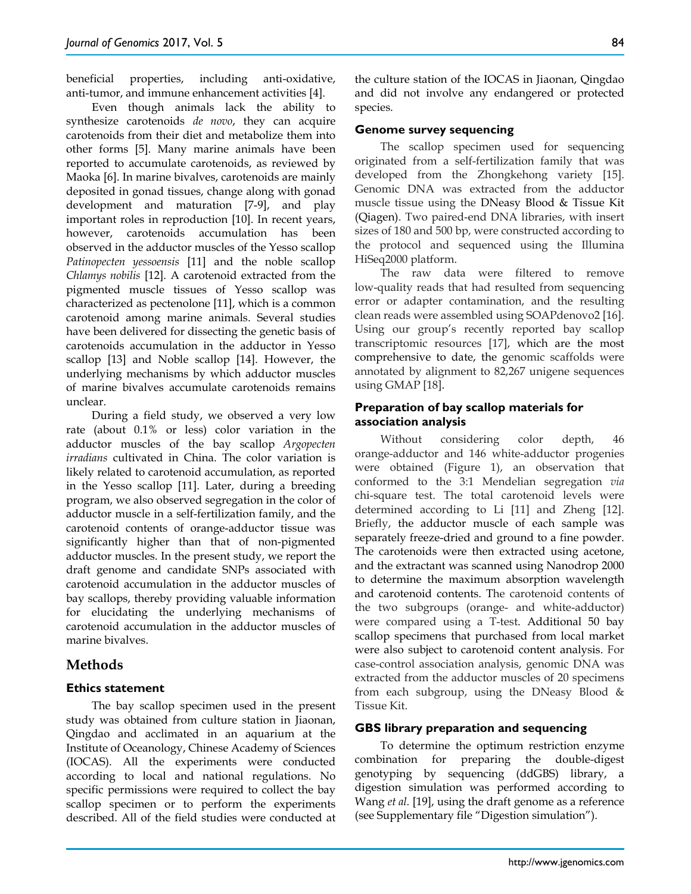beneficial properties, including anti-oxidative, anti-tumor, and immune enhancement activities [4].

Even though animals lack the ability to synthesize carotenoids *de novo*, they can acquire carotenoids from their diet and metabolize them into other forms [5]. Many marine animals have been reported to accumulate carotenoids, as reviewed by Maoka [6]. In marine bivalves, carotenoids are mainly deposited in gonad tissues, change along with gonad development and maturation [7-9], and play important roles in reproduction [10]. In recent years, however, carotenoids accumulation has been observed in the adductor muscles of the Yesso scallop *Patinopecten yessoensis* [11] and the noble scallop *Chlamys nobilis* [12]. A carotenoid extracted from the pigmented muscle tissues of Yesso scallop was characterized as pectenolone [11], which is a common carotenoid among marine animals. Several studies have been delivered for dissecting the genetic basis of carotenoids accumulation in the adductor in Yesso scallop [13] and Noble scallop [14]. However, the underlying mechanisms by which adductor muscles of marine bivalves accumulate carotenoids remains unclear.

During a field study, we observed a very low rate (about 0.1% or less) color variation in the adductor muscles of the bay scallop *Argopecten irradians* cultivated in China. The color variation is likely related to carotenoid accumulation, as reported in the Yesso scallop [11]. Later, during a breeding program, we also observed segregation in the color of adductor muscle in a self-fertilization family, and the carotenoid contents of orange-adductor tissue was significantly higher than that of non-pigmented adductor muscles. In the present study, we report the draft genome and candidate SNPs associated with carotenoid accumulation in the adductor muscles of bay scallops, thereby providing valuable information for elucidating the underlying mechanisms of carotenoid accumulation in the adductor muscles of marine bivalves.

# **Methods**

# **Ethics statement**

The bay scallop specimen used in the present study was obtained from culture station in Jiaonan, Qingdao and acclimated in an aquarium at the Institute of Oceanology, Chinese Academy of Sciences (IOCAS). All the experiments were conducted according to local and national regulations. No specific permissions were required to collect the bay scallop specimen or to perform the experiments described. All of the field studies were conducted at

the culture station of the IOCAS in Jiaonan, Qingdao and did not involve any endangered or protected species.

## **Genome survey sequencing**

The scallop specimen used for sequencing originated from a self-fertilization family that was developed from the Zhongkehong variety [15]. Genomic DNA was extracted from the adductor muscle tissue using the DNeasy Blood & Tissue Kit (Qiagen). Two paired-end DNA libraries, with insert sizes of 180 and 500 bp, were constructed according to the protocol and sequenced using the Illumina HiSeq2000 platform.

The raw data were filtered to remove low-quality reads that had resulted from sequencing error or adapter contamination, and the resulting clean reads were assembled using SOAPdenovo2 [16]. Using our group's recently reported bay scallop transcriptomic resources [17], which are the most comprehensive to date, the genomic scaffolds were annotated by alignment to 82,267 unigene sequences using GMAP [18].

# **Preparation of bay scallop materials for association analysis**

Without considering color depth, 46 orange-adductor and 146 white-adductor progenies were obtained (Figure 1), an observation that conformed to the 3:1 Mendelian segregation *via* chi-square test. The total carotenoid levels were determined according to Li [11] and Zheng [12]. Briefly, the adductor muscle of each sample was separately freeze-dried and ground to a fine powder. The carotenoids were then extracted using acetone, and the extractant was scanned using Nanodrop 2000 to determine the maximum absorption wavelength and carotenoid contents. The carotenoid contents of the two subgroups (orange- and white-adductor) were compared using a T-test. Additional 50 bay scallop specimens that purchased from local market were also subject to carotenoid content analysis. For case-control association analysis, genomic DNA was extracted from the adductor muscles of 20 specimens from each subgroup, using the DNeasy Blood & Tissue Kit.

## **GBS library preparation and sequencing**

To determine the optimum restriction enzyme combination for preparing the double-digest genotyping by sequencing (ddGBS) library, a digestion simulation was performed according to Wang *et al.* [19], using the draft genome as a reference (see Supplementary file "Digestion simulation").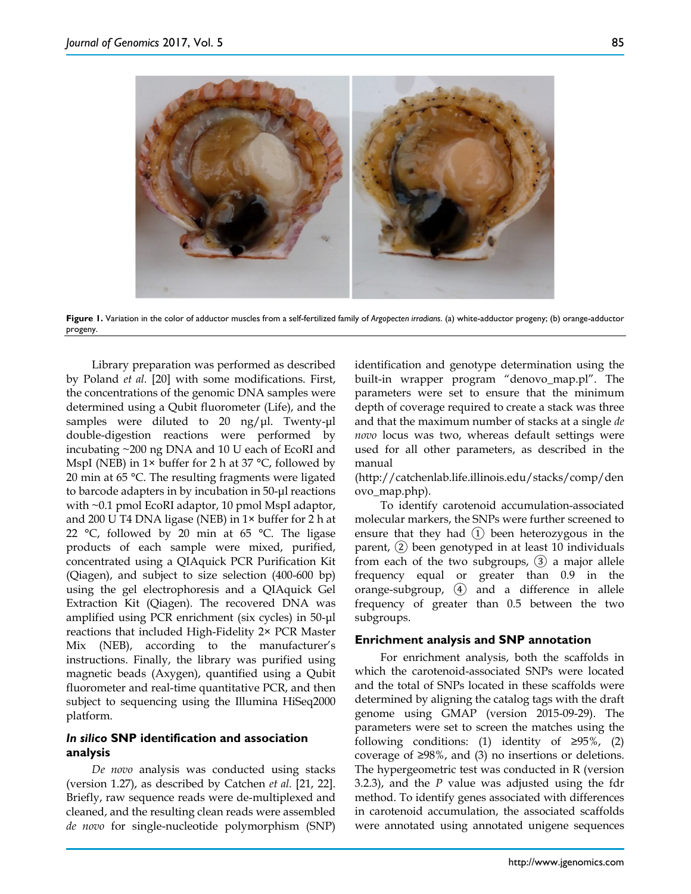

**Figure 1.** Variation in the color of adductor muscles from a self-fertilized family of *Argopecten irradians*. (a) white-adductor progeny; (b) orange-adductor progeny.

Library preparation was performed as described by Poland *et al.* [20] with some modifications. First, the concentrations of the genomic DNA samples were determined using a Qubit fluorometer (Life), and the samples were diluted to 20 ng/μl. Twenty-μl double-digestion reactions were performed by incubating ~200 ng DNA and 10 U each of EcoRI and MspI (NEB) in  $1 \times$  buffer for 2 h at 37 °C, followed by 20 min at 65 °C. The resulting fragments were ligated to barcode adapters in by incubation in 50-μl reactions with ~0.1 pmol EcoRI adaptor, 10 pmol MspI adaptor, and 200 U T4 DNA ligase (NEB) in 1× buffer for 2 h at 22 °C, followed by 20 min at 65 °C. The ligase products of each sample were mixed, purified, concentrated using a QIAquick PCR Purification Kit (Qiagen), and subject to size selection (400-600 bp) using the gel electrophoresis and a QIAquick Gel Extraction Kit (Qiagen). The recovered DNA was amplified using PCR enrichment (six cycles) in 50-μl reactions that included High-Fidelity 2× PCR Master Mix (NEB), according to the manufacturer's instructions. Finally, the library was purified using magnetic beads (Axygen), quantified using a Qubit fluorometer and real-time quantitative PCR, and then subject to sequencing using the Illumina HiSeq2000 platform.

# *In silico* **SNP identification and association analysis**

*De novo* analysis was conducted using stacks (version 1.27), as described by Catchen *et al.* [21, 22]. Briefly, raw sequence reads were de-multiplexed and cleaned, and the resulting clean reads were assembled *de novo* for single-nucleotide polymorphism (SNP) identification and genotype determination using the built-in wrapper program "denovo\_map.pl". The parameters were set to ensure that the minimum depth of coverage required to create a stack was three and that the maximum number of stacks at a single *de novo* locus was two, whereas default settings were used for all other parameters, as described in the manual

(http://catchenlab.life.illinois.edu/stacks/comp/den ovo\_map.php).

To identify carotenoid accumulation-associated molecular markers, the SNPs were further screened to ensure that they had ① been heterozygous in the parent, ② been genotyped in at least 10 individuals from each of the two subgroups, ③ a major allele frequency equal or greater than 0.9 in the orange-subgroup, ④ and a difference in allele frequency of greater than 0.5 between the two subgroups.

## **Enrichment analysis and SNP annotation**

For enrichment analysis, both the scaffolds in which the carotenoid-associated SNPs were located and the total of SNPs located in these scaffolds were determined by aligning the catalog tags with the draft genome using GMAP (version 2015-09-29). The parameters were set to screen the matches using the following conditions: (1) identity of  $\geq 95\%$ , (2) coverage of  $\geq$ 98%, and (3) no insertions or deletions. The hypergeometric test was conducted in R (version 3.2.3), and the *P* value was adjusted using the fdr method. To identify genes associated with differences in carotenoid accumulation, the associated scaffolds were annotated using annotated unigene sequences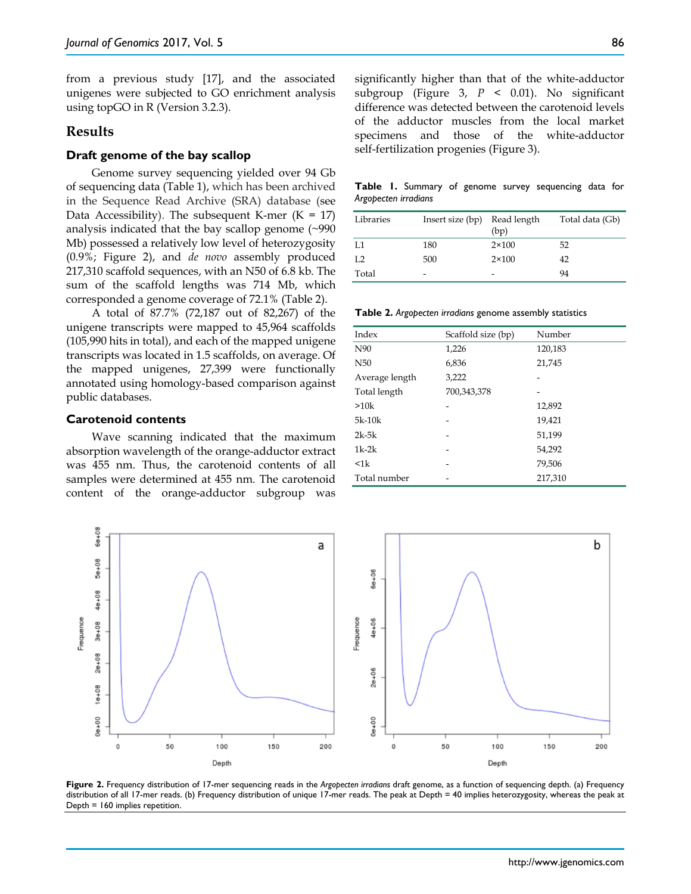from a previous study [17], and the associated unigenes were subjected to GO enrichment analysis using topGO in R (Version 3.2.3).

# **Results**

#### **Draft genome of the bay scallop**

Genome survey sequencing yielded over 94 Gb of sequencing data (Table 1), which has been archived in the Sequence Read Archive (SRA) database (see Data Accessibility). The subsequent K-mer  $(K = 17)$ analysis indicated that the bay scallop genome (~990 Mb) possessed a relatively low level of heterozygosity (0.9%; Figure 2), and *de novo* assembly produced 217,310 scaffold sequences, with an N50 of 6.8 kb. The sum of the scaffold lengths was 714 Mb, which corresponded a genome coverage of 72.1% (Table 2).

A total of 87.7% (72,187 out of 82,267) of the unigene transcripts were mapped to 45,964 scaffolds (105,990 hits in total), and each of the mapped unigene transcripts was located in 1.5 scaffolds, on average. Of the mapped unigenes, 27,399 were functionally annotated using homology-based comparison against public databases.

#### **Carotenoid contents**

Wave scanning indicated that the maximum absorption wavelength of the orange-adductor extract was 455 nm. Thus, the carotenoid contents of all samples were determined at 455 nm. The carotenoid content of the orange-adductor subgroup was

**Table 1.** Summary of genome survey sequencing data for *Argopecten irradians*

| Libraries | Insert size (bp) Read length | (bp)           | Total data (Gb) |
|-----------|------------------------------|----------------|-----------------|
| L1        | 180                          | $2 \times 100$ | 52              |
| I.2       | 500                          | $2 \times 100$ | 42              |
| Total     | -                            | -              | 94              |

**Table 2.** *Argopecten irradians* genome assembly statistics

| Index           | Scaffold size (bp) | Number  |
|-----------------|--------------------|---------|
| N90             | 1,226              | 120,183 |
| N <sub>50</sub> | 6,836              | 21,745  |
| Average length  | 3,222              |         |
| Total length    | 700,343,378        |         |
| >10k            |                    | 12,892  |
| $5k-10k$        |                    | 19,421  |
| $2k-5k$         |                    | 51,199  |
| $1k-2k$         |                    | 54,292  |
| $\leq$ 1 $k$    |                    | 79,506  |
| Total number    |                    | 217,310 |



**Figure 2.** Frequency distribution of 17-mer sequencing reads in the *Argopecten irradians* draft genome, as a function of sequencing depth. (a) Frequency distribution of all 17-mer reads. (b) Frequency distribution of unique 17-mer reads. The peak at Depth = 40 implies heterozygosity, whereas the peak at Depth = 160 implies repetition.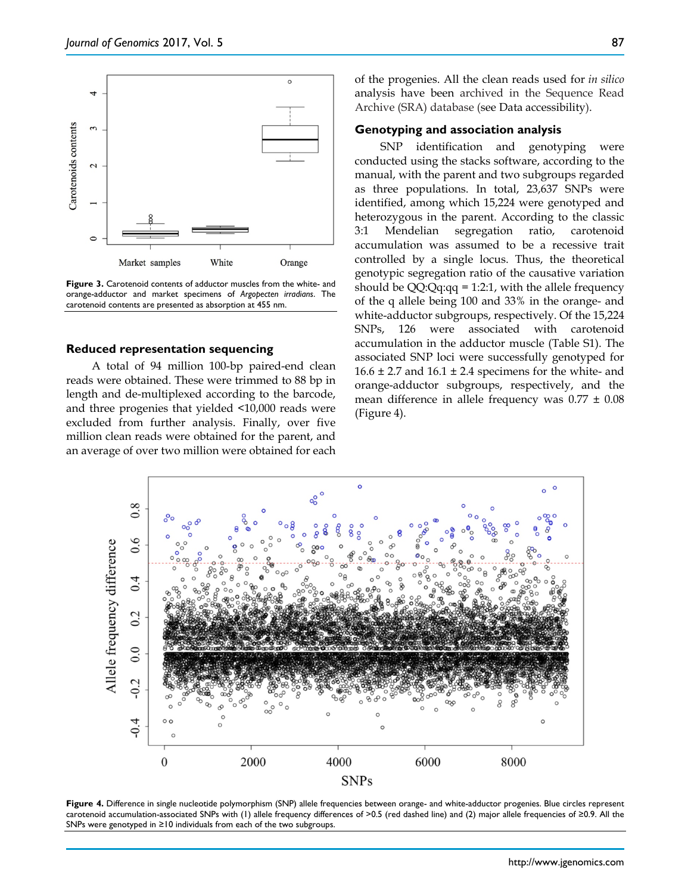

**Figure 3.** Carotenoid contents of adductor muscles from the white- and orange-adductor and market specimens of *Argopecten irradians*. The carotenoid contents are presented as absorption at 455 nm.

#### **Reduced representation sequencing**

A total of 94 million 100-bp paired-end clean reads were obtained. These were trimmed to 88 bp in length and de-multiplexed according to the barcode, and three progenies that yielded <10,000 reads were excluded from further analysis. Finally, over five million clean reads were obtained for the parent, and an average of over two million were obtained for each of the progenies. All the clean reads used for *in silico* analysis have been archived in the Sequence Read Archive (SRA) database (see Data accessibility).

### **Genotyping and association analysis**

SNP identification and genotyping were conducted using the stacks software, according to the manual, with the parent and two subgroups regarded as three populations. In total, 23,637 SNPs were identified, among which 15,224 were genotyped and heterozygous in the parent. According to the classic 3:1 Mendelian segregation ratio, carotenoid accumulation was assumed to be a recessive trait controlled by a single locus. Thus, the theoretical genotypic segregation ratio of the causative variation should be QQ:Qq:qq = 1:2:1, with the allele frequency of the q allele being 100 and 33% in the orange- and white-adductor subgroups, respectively. Of the 15,224 SNPs, 126 were associated with carotenoid accumulation in the adductor muscle (Table S1). The associated SNP loci were successfully genotyped for  $16.6 \pm 2.7$  and  $16.1 \pm 2.4$  specimens for the white- and orange-adductor subgroups, respectively, and the mean difference in allele frequency was  $0.77 \pm 0.08$ (Figure 4).



**Figure 4.** Difference in single nucleotide polymorphism (SNP) allele frequencies between orange- and white-adductor progenies. Blue circles represent carotenoid accumulation-associated SNPs with (1) allele frequency differences of >0.5 (red dashed line) and (2) major allele frequencies of ≥0.9. All the SNPs were genotyped in ≥10 individuals from each of the two subgroups.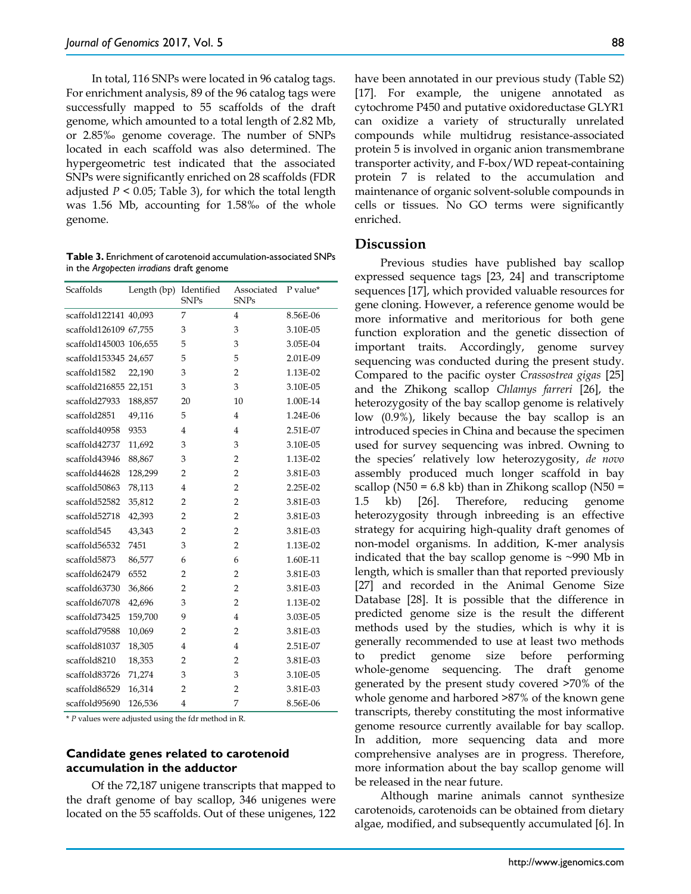In total, 116 SNPs were located in 96 catalog tags. For enrichment analysis, 89 of the 96 catalog tags were successfully mapped to 55 scaffolds of the draft genome, which amounted to a total length of 2.82 Mb, or 2.85‰ genome coverage. The number of SNPs located in each scaffold was also determined. The hypergeometric test indicated that the associated SNPs were significantly enriched on 28 scaffolds (FDR adjusted  $P < 0.05$ ; Table 3), for which the total length was 1.56 Mb, accounting for 1.58‰ of the whole genome.

**Table 3.** Enrichment of carotenoid accumulation-associated SNPs in the *Argopecten irradians* draft genome

| Scaffolds              | Length (bp) Identified | <b>SNPs</b>    | Associated<br><b>SNPs</b> | P value* |
|------------------------|------------------------|----------------|---------------------------|----------|
| scaffold122141 40,093  |                        | 7              | 4                         | 8.56E-06 |
| scaffold126109 67,755  |                        | 3              | 3                         | 3.10E-05 |
| scaffold145003 106,655 |                        | 5              | 3                         | 3.05E-04 |
| scaffold153345 24,657  |                        | 5              | 5                         | 2.01E-09 |
| scaffold1582           | 22,190                 | 3              | $\overline{2}$            | 1.13E-02 |
| scaffold216855 22,151  |                        | 3              | 3                         | 3.10E-05 |
| scaffold27933          | 188,857                | 20             | 10                        | 1.00E-14 |
| scaffold2851           | 49,116                 | 5              | $\overline{4}$            | 1.24E-06 |
| scaffold40958          | 9353                   | $\overline{4}$ | $\overline{4}$            | 2.51E-07 |
| scaffold42737          | 11,692                 | 3              | 3                         | 3.10E-05 |
| scaffold43946          | 88,867                 | 3              | $\overline{2}$            | 1.13E-02 |
| scaffold44628          | 128,299                | 2              | $\overline{2}$            | 3.81E-03 |
| scaffold50863          | 78,113                 | 4              | $\overline{2}$            | 2.25E-02 |
| scaffold52582          | 35,812                 | 2              | $\overline{2}$            | 3.81E-03 |
| scaffold52718          | 42,393                 | 2              | $\overline{2}$            | 3.81E-03 |
| scaffold545            | 43,343                 | $\overline{2}$ | $\overline{2}$            | 3.81E-03 |
| scaffold56532          | 7451                   | 3              | $\overline{2}$            | 1.13E-02 |
| scaffold5873           | 86,577                 | 6              | 6                         | 1.60E-11 |
| scaffold62479          | 6552                   | 2              | $\overline{2}$            | 3.81E-03 |
| scaffold63730          | 36,866                 | 2              | $\overline{2}$            | 3.81E-03 |
| scaffold67078          | 42,696                 | 3              | $\overline{2}$            | 1.13E-02 |
| scaffold73425          | 159,700                | 9              | $\overline{4}$            | 3.03E-05 |
| scaffold79588          | 10,069                 | 2              | $\overline{2}$            | 3.81E-03 |
| scaffold81037          | 18,305                 | 4              | $\overline{4}$            | 2.51E-07 |
| scaffold8210           | 18,353                 | $\overline{2}$ | $\overline{2}$            | 3.81E-03 |
| scaffold83726          | 71,274                 | 3              | 3                         | 3.10E-05 |
| scaffold86529          | 16,314                 | $\overline{2}$ | $\overline{2}$            | 3.81E-03 |
| scaffold95690          | 126,536                | $\overline{4}$ | 7                         | 8.56E-06 |

\* *P* values were adjusted using the fdr method in R.

## **Candidate genes related to carotenoid accumulation in the adductor**

Of the 72,187 unigene transcripts that mapped to the draft genome of bay scallop, 346 unigenes were located on the 55 scaffolds. Out of these unigenes, 122 have been annotated in our previous study (Table S2) [17]. For example, the unigene annotated as cytochrome P450 and putative oxidoreductase GLYR1 can oxidize a variety of structurally unrelated compounds while multidrug resistance-associated protein 5 is involved in organic anion transmembrane transporter activity, and F-box/WD repeat-containing protein 7 is related to the accumulation and maintenance of organic solvent-soluble compounds in cells or tissues. No GO terms were significantly enriched.

#### **Discussion**

Previous studies have published bay scallop expressed sequence tags [23, 24] and transcriptome sequences [17], which provided valuable resources for gene cloning. However, a reference genome would be more informative and meritorious for both gene function exploration and the genetic dissection of important traits. Accordingly, genome survey sequencing was conducted during the present study. Compared to the pacific oyster *Crassostrea gigas* [25] and the Zhikong scallop *Chlamys farreri* [26], the heterozygosity of the bay scallop genome is relatively low (0.9%), likely because the bay scallop is an introduced species in China and because the specimen used for survey sequencing was inbred. Owning to the species' relatively low heterozygosity, *de novo* assembly produced much longer scaffold in bay scallop ( $N50 = 6.8$  kb) than in Zhikong scallop ( $N50 =$ 1.5 kb) [26]. Therefore, reducing genome heterozygosity through inbreeding is an effective strategy for acquiring high-quality draft genomes of non-model organisms. In addition, K-mer analysis indicated that the bay scallop genome is ~990 Mb in length, which is smaller than that reported previously [27] and recorded in the Animal Genome Size Database [28]. It is possible that the difference in predicted genome size is the result the different methods used by the studies, which is why it is generally recommended to use at least two methods to predict genome size before performing whole-genome sequencing. The draft genome generated by the present study covered >70% of the whole genome and harbored >87% of the known gene transcripts, thereby constituting the most informative genome resource currently available for bay scallop. In addition, more sequencing data and more comprehensive analyses are in progress. Therefore, more information about the bay scallop genome will be released in the near future.

Although marine animals cannot synthesize carotenoids, carotenoids can be obtained from dietary algae, modified, and subsequently accumulated [6]. In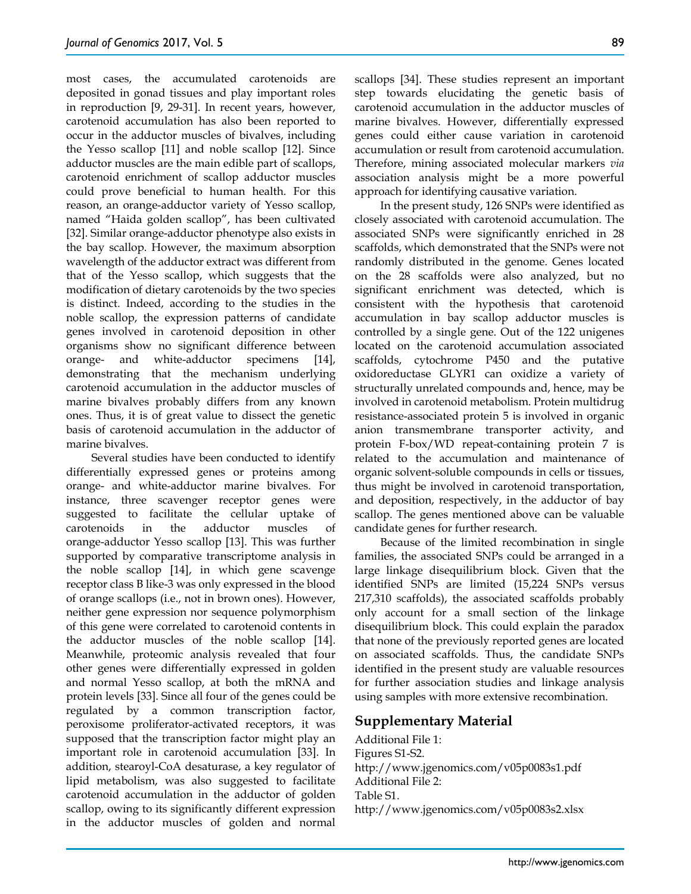most cases, the accumulated carotenoids are deposited in gonad tissues and play important roles in reproduction [9, 29-31]. In recent years, however, carotenoid accumulation has also been reported to occur in the adductor muscles of bivalves, including the Yesso scallop [11] and noble scallop [12]. Since adductor muscles are the main edible part of scallops, carotenoid enrichment of scallop adductor muscles could prove beneficial to human health. For this reason, an orange-adductor variety of Yesso scallop, named "Haida golden scallop", has been cultivated [32]. Similar orange-adductor phenotype also exists in the bay scallop. However, the maximum absorption wavelength of the adductor extract was different from that of the Yesso scallop, which suggests that the modification of dietary carotenoids by the two species is distinct. Indeed, according to the studies in the noble scallop, the expression patterns of candidate genes involved in carotenoid deposition in other organisms show no significant difference between orange- and white-adductor specimens [14], demonstrating that the mechanism underlying carotenoid accumulation in the adductor muscles of marine bivalves probably differs from any known ones. Thus, it is of great value to dissect the genetic basis of carotenoid accumulation in the adductor of marine bivalves.

Several studies have been conducted to identify differentially expressed genes or proteins among orange- and white-adductor marine bivalves. For instance, three scavenger receptor genes were suggested to facilitate the cellular uptake of carotenoids in the adductor muscles of orange-adductor Yesso scallop [13]. This was further supported by comparative transcriptome analysis in the noble scallop [14], in which gene scavenge receptor class B like-3 was only expressed in the blood of orange scallops (i.e., not in brown ones). However, neither gene expression nor sequence polymorphism of this gene were correlated to carotenoid contents in the adductor muscles of the noble scallop [14]. Meanwhile, proteomic analysis revealed that four other genes were differentially expressed in golden and normal Yesso scallop, at both the mRNA and protein levels [33]. Since all four of the genes could be regulated by a common transcription factor, peroxisome proliferator-activated receptors, it was supposed that the transcription factor might play an important role in carotenoid accumulation [33]. In addition, stearoyl-CoA desaturase, a key regulator of lipid metabolism, was also suggested to facilitate carotenoid accumulation in the adductor of golden scallop, owing to its significantly different expression in the adductor muscles of golden and normal

scallops [34]. These studies represent an important step towards elucidating the genetic basis of carotenoid accumulation in the adductor muscles of marine bivalves. However, differentially expressed genes could either cause variation in carotenoid accumulation or result from carotenoid accumulation. Therefore, mining associated molecular markers *via* association analysis might be a more powerful approach for identifying causative variation.

In the present study, 126 SNPs were identified as closely associated with carotenoid accumulation. The associated SNPs were significantly enriched in 28 scaffolds, which demonstrated that the SNPs were not randomly distributed in the genome. Genes located on the 28 scaffolds were also analyzed, but no significant enrichment was detected, which is consistent with the hypothesis that carotenoid accumulation in bay scallop adductor muscles is controlled by a single gene. Out of the 122 unigenes located on the carotenoid accumulation associated scaffolds, cytochrome P450 and the putative oxidoreductase GLYR1 can oxidize a variety of structurally unrelated compounds and, hence, may be involved in carotenoid metabolism. Protein multidrug resistance-associated protein 5 is involved in organic anion transmembrane transporter activity, and protein F-box/WD repeat-containing protein 7 is related to the accumulation and maintenance of organic solvent-soluble compounds in cells or tissues, thus might be involved in carotenoid transportation, and deposition, respectively, in the adductor of bay scallop. The genes mentioned above can be valuable candidate genes for further research.

Because of the limited recombination in single families, the associated SNPs could be arranged in a large linkage disequilibrium block. Given that the identified SNPs are limited (15,224 SNPs versus 217,310 scaffolds), the associated scaffolds probably only account for a small section of the linkage disequilibrium block. This could explain the paradox that none of the previously reported genes are located on associated scaffolds. Thus, the candidate SNPs identified in the present study are valuable resources for further association studies and linkage analysis using samples with more extensive recombination.

## **Supplementary Material**

Additional File 1: Figures S1-S2. http://www.jgenomics.com/v05p0083s1.pdf Additional File 2: Table S1. http://www.jgenomics.com/v05p0083s2.xlsx